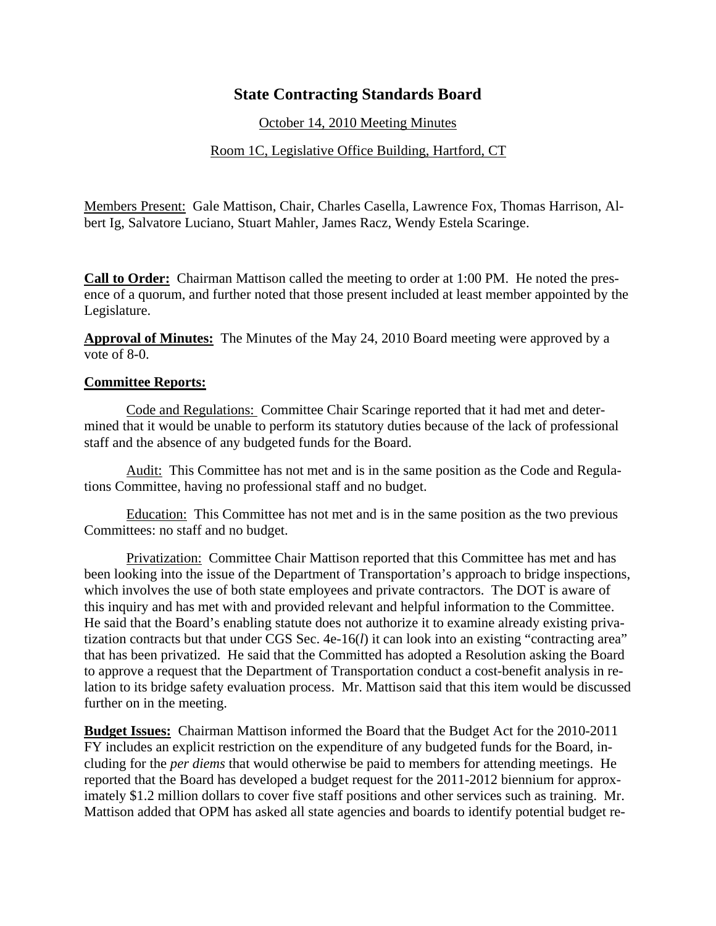## **State Contracting Standards Board**

October 14, 2010 Meeting Minutes

## Room 1C, Legislative Office Building, Hartford, CT

Members Present: Gale Mattison, Chair, Charles Casella, Lawrence Fox, Thomas Harrison, Albert Ig, Salvatore Luciano, Stuart Mahler, James Racz, Wendy Estela Scaringe.

**Call to Order:** Chairman Mattison called the meeting to order at 1:00 PM. He noted the presence of a quorum, and further noted that those present included at least member appointed by the Legislature.

**Approval of Minutes:** The Minutes of the May 24, 2010 Board meeting were approved by a vote of 8-0.

## **Committee Reports:**

Code and Regulations: Committee Chair Scaringe reported that it had met and determined that it would be unable to perform its statutory duties because of the lack of professional staff and the absence of any budgeted funds for the Board.

Audit: This Committee has not met and is in the same position as the Code and Regulations Committee, having no professional staff and no budget.

Education: This Committee has not met and is in the same position as the two previous Committees: no staff and no budget.

Privatization: Committee Chair Mattison reported that this Committee has met and has been looking into the issue of the Department of Transportation's approach to bridge inspections, which involves the use of both state employees and private contractors. The DOT is aware of this inquiry and has met with and provided relevant and helpful information to the Committee. He said that the Board's enabling statute does not authorize it to examine already existing privatization contracts but that under CGS Sec. 4e-16(*l*) it can look into an existing "contracting area" that has been privatized. He said that the Committed has adopted a Resolution asking the Board to approve a request that the Department of Transportation conduct a cost-benefit analysis in relation to its bridge safety evaluation process. Mr. Mattison said that this item would be discussed further on in the meeting.

**Budget Issues:** Chairman Mattison informed the Board that the Budget Act for the 2010-2011 FY includes an explicit restriction on the expenditure of any budgeted funds for the Board, including for the *per diems* that would otherwise be paid to members for attending meetings. He reported that the Board has developed a budget request for the 2011-2012 biennium for approximately \$1.2 million dollars to cover five staff positions and other services such as training. Mr. Mattison added that OPM has asked all state agencies and boards to identify potential budget re